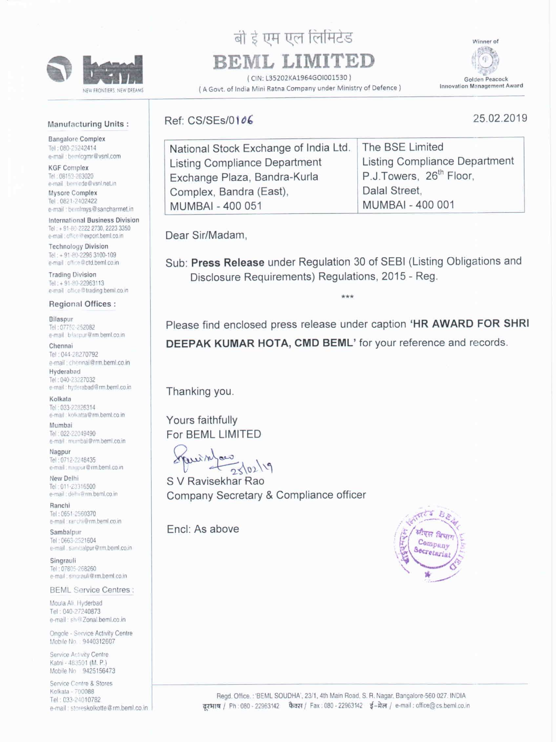

NEW FRONTIERS, NEW DREAMS

# बी ई एम एल लिमिटेड

# BEML LIMITED

(CIN: L35202KA1964GOI001530) A Govt. of India Mini Ratna Company under Ministry of Defence) Winner of

Golden Peacock **Innovation Management Award** 

25.02.2019

#### **Manufacturing Units:**

**Bangalore Complex** Tel: 080-25242414 e-mail: bemlcgmr@vsnl.com

**KGF Complex** Tel. 08153-263020 e-mail bemiede@vsnl.net.in

Mysore Complex Tel: 0821-2402422 e-mail: bemlmys@sancharmet.in

International Business Division Tel: +91-80-2222 2730, 2223 3350 e-mail: office@export.beml.co.in

**Technology Division** Tel: +91-80-2296 3100-109 e-mail: office@ctd.beml.co.in

**Trading Division** Tel: +91-80-22963113 e-mail office@trading.beml.co.in

## Ref: CS/SEs/0106

| National Stock Exchange of India Ltd. The BSE Limited |                                      |
|-------------------------------------------------------|--------------------------------------|
| Listing Compliance Department                         | <b>Listing Compliance Department</b> |
| Exchange Plaza, Bandra-Kurla                          | P.J.Towers, 26 <sup>th</sup> Floor,  |
| Complex, Bandra (East),                               | Dalal Street,                        |
| MUMBAI - 400 051                                      | <b>MUMBAI - 400 001</b>              |
|                                                       |                                      |

Dear Sir/Madam,

Sub: Press Release under Regulation 30 of SEBI (Listing Obligations and Disclosure Requirements) Regulations, 2015 - Reg.

#### Regional Offices:

### Bilaspur

Tel: 07752-252082 e-mail blaspur@rm.beml.co.in

#### Chennai

Tel: 044-28270792 e-mail: chennai@rm.beml.co.in Hyderabad Tel: 040-23227032 e-mail: hyderabad@rm.beml.co.in

#### Kolkata

Tel: 033-22826314 e-mail: kolkatta@rm.beml.co.in

#### Mumbai

Tel: 022-22049490 e-mail : mumbal@rm.beml.co.in

Nagpur Tel: 0712-2248435 e-mail: nagpur@rm.beml.co.in

New Delhi Tel: 011-23316500 e-mail : delhi@rm.beml.co.in

Ranchi Tel: 0651-2560370 e-mail: ranchi@rm.beml.co.in

Sambalpur Tel: 0663-2521604 e-mail sambalpur@rm.beml.co.in

Singrauli Tel: 07805-268260 e-mail: singrauli@rm.beml.co.in

**BEML Service Centres:** Moula All. Hyderbad Tel: 040-27240873 e-mail: sh@Zonal.beml.co.in Ongole - Service Activity Centre Mobile No.: 9440312607 Service Activity Centre Katni - 483501 (M. P.) Mobile No 9425156473 Service Centre & Stores Kolkata - 700088 Tel: 033-24010782 e-mail: storeskolkotte@rm.beml.co.in.

Please find enclosed press release under caption 'HR AWARD FOR SHRI DEEPAK KUMAR HOTA, CMD BEML' for your reference and records.

### Thanking you.

Yours faithfully For BEML LIMITED

wein  $2\sqrt{02}/19$ 

S V Ravisekhar Rao Company Secretary & Compliance officer

Encl: As above



Regd. Office.: 'BEML SOUDHA', 23/1, 4th Main Road, S. R. Nagar, Bangalore-560 027. INDIA दरभाष / Ph: 080 - 22963142 फैक्स / Fax: 080 - 22963142 ई-मेल / e-mail: office@cs.beml.co.in